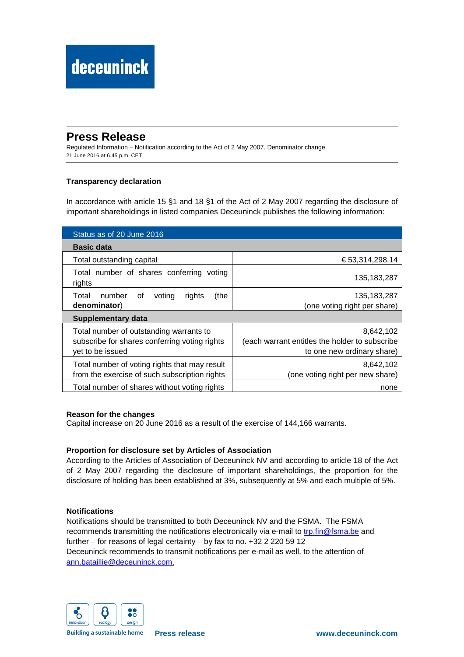# **Press Release**

Regulated Information – Notification according to the Act of 2 May 2007. Denominator change. 21 June 2016 at 6.45 p.m. CET

## **Transparency declaration**

In accordance with article 15 §1 and 18 §1 of the Act of 2 May 2007 regarding the disclosure of important shareholdings in listed companies Deceuninck publishes the following information:

| Status as of 20 June 2016                                                                                    |                                                                                           |
|--------------------------------------------------------------------------------------------------------------|-------------------------------------------------------------------------------------------|
| <b>Basic data</b>                                                                                            |                                                                                           |
| Total outstanding capital                                                                                    | € 53,314,298.14                                                                           |
| Total number of shares conferring voting<br>rights                                                           | 135, 183, 287                                                                             |
| number<br>(the<br>Total<br>0f<br>voting<br>rights<br>denominator)                                            | 135, 183, 287<br>(one voting right per share)                                             |
| <b>Supplementary data</b>                                                                                    |                                                                                           |
| Total number of outstanding warrants to<br>subscribe for shares conferring voting rights<br>yet to be issued | 8,642,102<br>(each warrant entitles the holder to subscribe<br>to one new ordinary share) |
| Total number of voting rights that may result<br>from the exercise of such subscription rights               | 8,642,102<br>(one voting right per new share)                                             |
| Total number of shares without voting rights                                                                 | none                                                                                      |

### **Reason for the changes**

Capital increase on 20 June 2016 as a result of the exercise of 144,166 warrants.

### **Proportion for disclosure set by Articles of Association**

According to the Articles of Association of Deceuninck NV and according to article 18 of the Act of 2 May 2007 regarding the disclosure of important shareholdings, the proportion for the disclosure of holding has been established at 3%, subsequently at 5% and each multiple of 5%.

### **Notifications**

Notifications should be transmitted to both Deceuninck NV and the FSMA. The FSMA recommends transmitting the notifications electronically via e-mail to trp.fin@fsma.be and further – for reasons of legal certainty – by fax to no. +32 2 220 59 12 Deceuninck recommends to transmit notifications per e-mail as well, to the attention of ann.bataillie@deceuninck.com.



**Building a sustainable home**